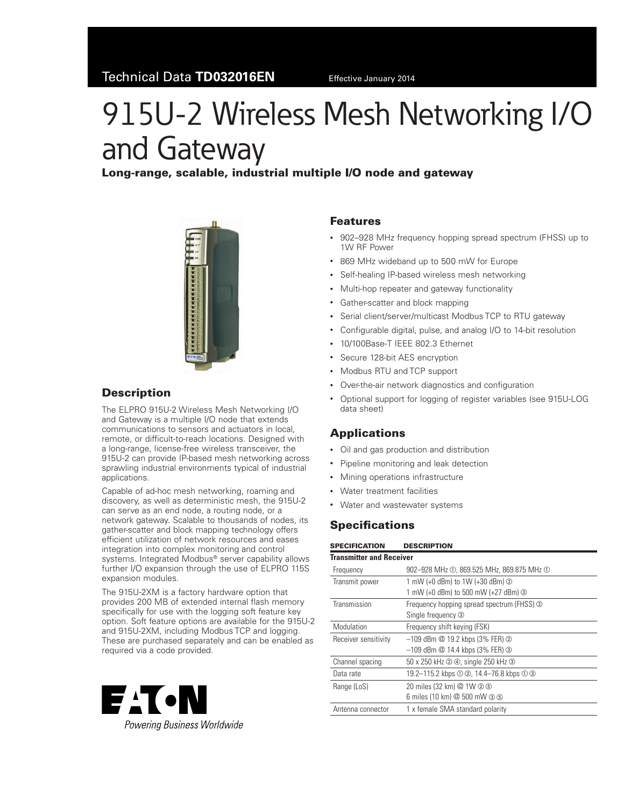# 915U-2 Wireless Mesh Networking I/O and Gateway

# Long‑range, scalable, industrial multiple I/O node and gateway



# **Description**

The ELPRO 915U-2 Wireless Mesh Networking I/O and Gateway is a multiple I/O node that extends communications to sensors and actuators in local, remote, or difficult-to-reach locations. Designed with a long‑range, license-free wireless transceiver, the 915U-2 can provide IP-based mesh networking across sprawling industrial environments typical of industrial applications.

Capable of ad-hoc mesh networking, roaming and discovery, as well as deterministic mesh, the 915U‑2 can serve as an end node, a routing node, or a network gateway. Scalable to thousands of nodes, its gather-scatter and block mapping technology offers efficient utilization of network resources and eases integration into complex monitoring and control systems. Integrated Modbus® server capability allows further I/O expansion through the use of ELPRO 115S expansion modules.

The 915U-2XM is a factory hardware option that provides 200 MB of extended internal flash memory specifically for use with the logging soft feature key option. Soft feature options are available for the 915U‑2 and 915U-2XM, including Modbus TCP and logging. These are purchased separately and can be enabled as required via a code provided.



#### Features

- 902–928 MHz frequency hopping spread spectrum (FHSS) up to 1W RF Power
- 869 MHz wideband up to 500 mW for Europe
- Self-healing IP-based wireless mesh networking
- Multi-hop repeater and gateway functionality
- • Gather-scatter and block mapping
- Serial client/server/multicast Modbus TCP to RTU gateway
- Configurable digital, pulse, and analog I/O to 14-bit resolution
- 10/100Base-T IEEE 802.3 Ethernet
- Secure 128-bit AES encryption
- Modbus RTU and TCP support
- • Over-the-air network diagnostics and configuration
- Optional support for logging of register variables (see 915U-LOG data sheet)

# **Applications**

- • Oil and gas production and distribution
- • Pipeline monitoring and leak detection
- • Mining operations infrastructure
- • Water treatment facilities
- • Water and wastewater systems

# **Specifications**

| <b>SPECIFICATION</b>            | <b>DESCRIPTION</b>                         |  |  |  |  |
|---------------------------------|--------------------------------------------|--|--|--|--|
| <b>Transmitter and Receiver</b> |                                            |  |  |  |  |
| Frequency                       | 902-928 MHz ①, 869.525 MHz, 869.875 MHz ①  |  |  |  |  |
| Transmit power                  | 1 mW (+0 dBm) to 1W (+30 dBm) ②            |  |  |  |  |
|                                 | 1 mW (+0 dBm) to 500 mW (+27 dBm) 3        |  |  |  |  |
| Transmission                    | Frequency hopping spread spectrum (FHSS) 2 |  |  |  |  |
|                                 | Single frequency 3                         |  |  |  |  |
| Modulation                      | Frequency shift keying (FSK)               |  |  |  |  |
| Receiver sensitivity            | $-109$ dBm $@$ 19.2 kbps (3% FER) $@$      |  |  |  |  |
|                                 | $-109$ dBm @ 14.4 kbps (3% FER) ③          |  |  |  |  |
| Channel spacing                 | 50 x 250 kHz 2 4, single 250 kHz 3         |  |  |  |  |
| Data rate                       | 19.2-115.2 kbps ① ②, 14.4-76.8 kbps ① ③    |  |  |  |  |
| Range (LoS)                     | 20 miles (32 km) @ 1W 2 5                  |  |  |  |  |
|                                 | 6 miles (10 km) @ 500 mW 3 5               |  |  |  |  |
| Antenna connector               | 1 x female SMA standard polarity           |  |  |  |  |
|                                 |                                            |  |  |  |  |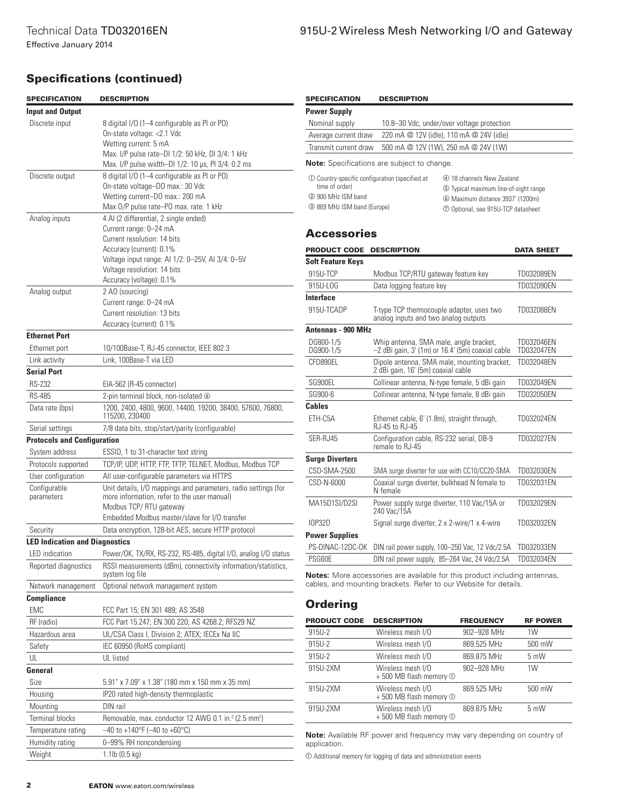Effective January 2014

# Specifications (continued)

<span id="page-1-6"></span><span id="page-1-5"></span><span id="page-1-4"></span><span id="page-1-3"></span><span id="page-1-2"></span><span id="page-1-1"></span><span id="page-1-0"></span>

| <b>SPECIFICATION</b>                  | <b>DESCRIPTION</b>                                                                                                                                            | <b>SPECIFICATION</b>                                                                                                                                                                                                                                                  | <b>DESCRIPTION</b>                                                                |                   |  |
|---------------------------------------|---------------------------------------------------------------------------------------------------------------------------------------------------------------|-----------------------------------------------------------------------------------------------------------------------------------------------------------------------------------------------------------------------------------------------------------------------|-----------------------------------------------------------------------------------|-------------------|--|
| <b>Input and Output</b>               |                                                                                                                                                               | <b>Power Supply</b>                                                                                                                                                                                                                                                   |                                                                                   |                   |  |
| Discrete input                        | 8 digital I/O (1-4 configurable as PI or PO)                                                                                                                  | Nominal supply                                                                                                                                                                                                                                                        | 10.8-30 Vdc, under/over voltage protection                                        |                   |  |
|                                       | On-state voltage: < 2.1 Vdc                                                                                                                                   | Average current draw                                                                                                                                                                                                                                                  | 220 mA @ 12V (idle), 110 mA @ 24V (idle)                                          |                   |  |
|                                       | Wetting current: 5 mA                                                                                                                                         | Transmit current draw                                                                                                                                                                                                                                                 | 500 mA @ 12V (1W), 250 mA @ 24V (1W)                                              |                   |  |
|                                       | Max. I/P pulse rate-DI 1/2: 50 kHz, DI 3/4: 1 kHz<br>Max. I/P pulse width-DI 1/2: 10 µs, PI 3/4: 0.2 ms                                                       | <b>Note:</b> Specifications are subject to change.                                                                                                                                                                                                                    |                                                                                   |                   |  |
| Discrete output                       | 8 digital I/O (1-4 configurable as PI or PO)<br>On-state voltage-DO max.: 30 Vdc<br>Wetting current-DO max.: 200 mA<br>Max 0/P pulse rate-P0 max. rate: 1 kHz | ① Country-specific configuration (specified at<br>4 18 channels New Zealand<br>time of order)<br>5 Typical maximum line-of-sight range<br>2 900 MHz ISM band<br>6 Maximum distance 3937' (1200m)<br>3 869 MHz ISM band (Europe)<br>2 Optional, see 915U-TCP datasheet |                                                                                   |                   |  |
| Analog inputs                         | 4 Al (2 differential, 2 single ended)<br>Current range: 0-24 mA<br>Current resolution: 14 bits                                                                | <b>Accessories</b>                                                                                                                                                                                                                                                    |                                                                                   |                   |  |
|                                       | Accuracy (current): 0.1%                                                                                                                                      | PRODUCT CODE DESCRIPTION                                                                                                                                                                                                                                              |                                                                                   | <b>DATA SHEET</b> |  |
|                                       | Voltage input range: Al 1/2: 0-25V, Al 3/4: 0-5V                                                                                                              | <b>Soft Feature Keys</b>                                                                                                                                                                                                                                              |                                                                                   |                   |  |
|                                       | Voltage resolution: 14 bits                                                                                                                                   | 915U-TCP                                                                                                                                                                                                                                                              | Modbus TCP/RTU gateway feature key                                                | TD032089EN        |  |
|                                       | Accuracy (voltage): 0.1%                                                                                                                                      | 915U-LOG                                                                                                                                                                                                                                                              | Data logging feature key                                                          | TD032090EN        |  |
| Analog output                         | 2 AO (sourcing)                                                                                                                                               | Interface                                                                                                                                                                                                                                                             |                                                                                   |                   |  |
|                                       | Current range: 0-24 mA                                                                                                                                        |                                                                                                                                                                                                                                                                       |                                                                                   |                   |  |
|                                       | Current resolution: 13 bits                                                                                                                                   | 915U-TCADP                                                                                                                                                                                                                                                            | T-type TCP thermocouple adapter, uses two<br>analog inputs and two analog outputs | TD032088EN        |  |
| Accuracy (current): 0.1%              |                                                                                                                                                               | <b>Antennas - 900 MHz</b>                                                                                                                                                                                                                                             |                                                                                   |                   |  |
| <b>Ethernet Port</b>                  | 10/100Base-T, RJ-45 connector, IEEE 802.3                                                                                                                     | DG800-1/5                                                                                                                                                                                                                                                             | Whip antenna, SMA male, angle bracket,                                            | TD032046EN        |  |
| Ethernet port                         | Link, 100Base-T via LED                                                                                                                                       | DG900-1/5                                                                                                                                                                                                                                                             | $-2$ dBi gain, 3' (1m) or 16.4' (5m) coaxial cable                                | TD032047EN        |  |
| Link activity<br><b>Serial Port</b>   |                                                                                                                                                               | CFD890EL                                                                                                                                                                                                                                                              | Dipole antenna, SMA male, mounting bracket,<br>2 dBi gain, 16' (5m) coaxial cable | TD032048EN        |  |
| <b>RS-232</b>                         | EIA-562 (R-45 connector)                                                                                                                                      | SG900EL                                                                                                                                                                                                                                                               | Collinear antenna, N-type female, 5 dBi gain                                      | TD032049EN        |  |
| <b>RS-485</b>                         | 2-pin terminal block, non-isolated 6                                                                                                                          | SG900-6                                                                                                                                                                                                                                                               | Collinear antenna, N-type female, 8 dBi gain                                      | TD032050EN        |  |
| Data rate (bps)                       | 1200, 2400, 4800, 9600, 14400, 19200, 38400, 57600, 76800,                                                                                                    | <b>Cables</b>                                                                                                                                                                                                                                                         |                                                                                   |                   |  |
| Serial settings                       | 115200, 230400<br>7/8 data bits, stop/start/parity (configurable)                                                                                             | ETH-C5A                                                                                                                                                                                                                                                               | Ethernet cable, 6' (1.8m), straight through,<br>RJ-45 to RJ-45                    | TD032024EN        |  |
| <b>Protocols and Configuration</b>    |                                                                                                                                                               | SER-RJ45                                                                                                                                                                                                                                                              | Configuration cable, RS-232 serial, DB-9                                          | TD032027EN        |  |
| System address                        | ESSID, 1 to 31-character text string                                                                                                                          |                                                                                                                                                                                                                                                                       | remale to RJ-45                                                                   |                   |  |
| Protocols supported                   | TCP/IP, UDP, HTTP, FTP, TFTP, TELNET, Modbus, Modbus TCP                                                                                                      | <b>Surge Diverters</b>                                                                                                                                                                                                                                                |                                                                                   |                   |  |
| User configuration                    | All user-configurable parameters via HTTPS                                                                                                                    | CSD-SMA-2500                                                                                                                                                                                                                                                          | SMA surge diverter for use with CC10/CC20-SMA                                     | TD032030EN        |  |
| Configurable<br>parameters            | Unit details, I/O mappings and parameters, radio settings (for<br>more information, refer to the user manual)                                                 | CSD-N-6000                                                                                                                                                                                                                                                            | Coaxial surge diverter, bulkhead N female to<br>N female                          | TD032031EN        |  |
|                                       | Modbus TCP/RTU gateway                                                                                                                                        | MA15D1SI/D2SI                                                                                                                                                                                                                                                         | Power supply surge diverter, 110 Vac/15A or<br>240 Vac/15A                        | TD032029EN        |  |
|                                       | Embedded Modbus master/slave for I/O transfer                                                                                                                 | <b>IOP32D</b>                                                                                                                                                                                                                                                         | Signal surge diverter, 2 x 2-wire/1 x 4-wire                                      | TD032032EN        |  |
| Security                              | Data encryption, 128-bit AES, secure HTTP protocol                                                                                                            | <b>Power Supplies</b>                                                                                                                                                                                                                                                 |                                                                                   |                   |  |
| <b>LED Indication and Diagnostics</b> |                                                                                                                                                               |                                                                                                                                                                                                                                                                       | PS-DINAC-12DC-OK DIN rail power supply, 100-250 Vac, 12 Vdc/2.5A TD032033EN       |                   |  |
| LED indication                        | Power/OK, TX/RX, RS-232, RS-485, digital I/O, analog I/O status                                                                                               | PSG60E                                                                                                                                                                                                                                                                | DIN rail power supply, 85-264 Vac, 24 Vdc/2.5A TD032034EN                         |                   |  |
| Reported diagnostics                  | RSSI measurements (dBm), connectivity information/statistics,<br>system log file                                                                              | <b>Notes:</b> More accessories are available for this product including antennas,                                                                                                                                                                                     |                                                                                   |                   |  |
| Network management                    | Optional network management system                                                                                                                            |                                                                                                                                                                                                                                                                       | cables, and mounting brackets. Refer to our Website for details.                  |                   |  |
| Compliance                            |                                                                                                                                                               | <b>Ordering</b>                                                                                                                                                                                                                                                       |                                                                                   |                   |  |
| EMC                                   | FCC Part 15; EN 301 489; AS 3548                                                                                                                              |                                                                                                                                                                                                                                                                       |                                                                                   |                   |  |
| RF (radio)                            | FCC Part 15.247; EN 300 220; AS 4268.2; RFS29 NZ                                                                                                              | <b>PRODUCT CODE</b>                                                                                                                                                                                                                                                   | <b>DESCRIPTION</b><br><b>FREQUENCY</b>                                            | <b>RF POWER</b>   |  |
| Hazardous area                        | UL/CSA Class I, Division 2; ATEX; IECEx Na IIC                                                                                                                | 915U-2                                                                                                                                                                                                                                                                | 902-928 MHz<br>Wireless mesh I/O                                                  | 1W                |  |
| Safety                                | IEC 60950 (RoHS compliant)                                                                                                                                    | 915U-2                                                                                                                                                                                                                                                                | 869.525 MHz<br>Wireless mesh I/O                                                  | 500 mW            |  |
| UL                                    | UL listed                                                                                                                                                     | 915U-2                                                                                                                                                                                                                                                                | 869.875 MHz<br>Wireless mesh I/O                                                  | 5 mW              |  |
| General                               |                                                                                                                                                               | 915U-2XM                                                                                                                                                                                                                                                              | Wireless mesh I/O<br>902-928 MHz<br>$+500$ MB flash memory $\odot$                | 1W                |  |
| Size                                  | 5.91" x 7.09" x 1.38" (180 mm x 150 mm x 35 mm)                                                                                                               | 915U-2XM                                                                                                                                                                                                                                                              | Wireless mesh I/O<br>869.525 MHz                                                  | 500 mW            |  |
| Housing                               | IP20 rated high-density thermoplastic                                                                                                                         |                                                                                                                                                                                                                                                                       | +500 MB flash memory ①                                                            |                   |  |
| Mounting                              | DIN rail                                                                                                                                                      | 915U-2XM                                                                                                                                                                                                                                                              | 869.875 MHz<br>Wireless mesh I/O                                                  | 5 mW              |  |
| Terminal blocks                       | Removable, max. conductor 12 AWG 0.1 in. <sup>2</sup> (2.5 mm <sup>2</sup> )                                                                                  |                                                                                                                                                                                                                                                                       | +500 MB flash memory 1                                                            |                   |  |
| Temperature rating                    | $-40$ to +140°F (-40 to +60°C)<br>Note: Available RF power and frequency may vary depending on country of                                                     |                                                                                                                                                                                                                                                                       |                                                                                   |                   |  |
| Humidity rating                       | 0-99% RH noncondensing<br>application.                                                                                                                        |                                                                                                                                                                                                                                                                       |                                                                                   |                   |  |
| Weight                                | $1.1$ lb (0.5 kg)<br>10 Additional memory for logging of data and administration events                                                                       |                                                                                                                                                                                                                                                                       |                                                                                   |                   |  |